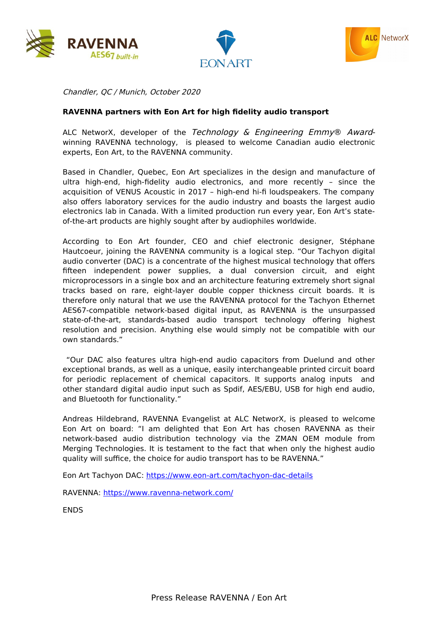





Chandler, QC / Munich, October 2020

## **RAVENNA partners with Eon Art for high fidelity audio transport**

ALC NetworX, developer of the Technology & Engineering Emmy® Awardwinning RAVENNA technology, is pleased to welcome Canadian audio electronic experts, Eon Art, to the RAVENNA community.

Based in Chandler, Quebec, Eon Art specializes in the design and manufacture of ultra high-end, high-fidelity audio electronics, and more recently – since the acquisition of VENUS Acoustic in 2017 – high-end hi-fi loudspeakers. The company also offers laboratory services for the audio industry and boasts the largest audio electronics lab in Canada. With a limited production run every year, Eon Art's stateof-the-art products are highly sought after by audiophiles worldwide.

According to Eon Art founder, CEO and chief electronic designer, Stéphane Hautcoeur, joining the RAVENNA community is a logical step. "Our Tachyon digital audio converter (DAC) is a concentrate of the highest musical technology that offers fifteen independent power supplies, a dual conversion circuit, and eight microprocessors in a single box and an architecture featuring extremely short signal tracks based on rare, eight-layer double copper thickness circuit boards. It is therefore only natural that we use the RAVENNA protocol for the Tachyon Ethernet AES67-compatible network-based digital input, as RAVENNA is the unsurpassed state-of-the-art, standards-based audio transport technology offering highest resolution and precision. Anything else would simply not be compatible with our own standards."

 "Our DAC also features ultra high-end audio capacitors from Duelund and other exceptional brands, as well as a unique, easily interchangeable printed circuit board for periodic replacement of chemical capacitors. It supports analog inputs and other standard digital audio input such as Spdif, AES/EBU, USB for high end audio, and Bluetooth for functionality."

Andreas Hildebrand, RAVENNA Evangelist at ALC NetworX, is pleased to welcome Eon Art on board: "I am delighted that Eon Art has chosen RAVENNA as their network-based audio distribution technology via the ZMAN OEM module from Merging Technologies. It is testament to the fact that when only the highest audio quality will suffice, the choice for audio transport has to be RAVENNA."

Eon Art Tachyon DAC:<https://www.eon-art.com/tachyon-dac-details>

RAVENNA:<https://www.ravenna-network.com/>

ENDS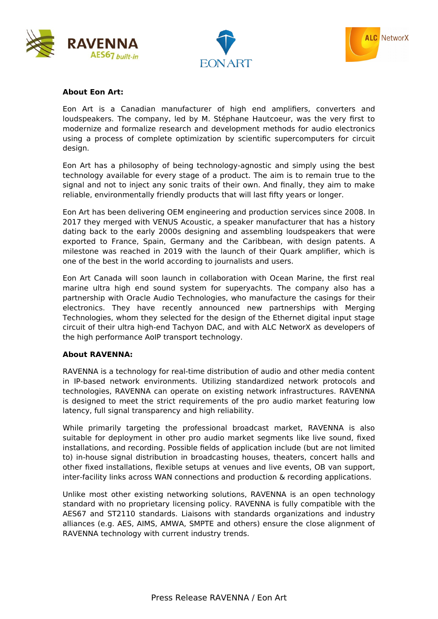





## **About Eon Art:**

Eon Art is a Canadian manufacturer of high end amplifiers, converters and loudspeakers. The company, led by M. Stéphane Hautcoeur, was the very first to modernize and formalize research and development methods for audio electronics using a process of complete optimization by scientific supercomputers for circuit design.

Eon Art has a philosophy of being technology-agnostic and simply using the best technology available for every stage of a product. The aim is to remain true to the signal and not to inject any sonic traits of their own. And finally, they aim to make reliable, environmentally friendly products that will last fifty years or longer.

Eon Art has been delivering OEM engineering and production services since 2008. In 2017 they merged with VENUS Acoustic, a speaker manufacturer that has a history dating back to the early 2000s designing and assembling loudspeakers that were exported to France, Spain, Germany and the Caribbean, with design patents. A milestone was reached in 2019 with the launch of their Quark amplifier, which is one of the best in the world according to journalists and users.

Eon Art Canada will soon launch in collaboration with Ocean Marine, the first real marine ultra high end sound system for superyachts. The company also has a partnership with Oracle Audio Technologies, who manufacture the casings for their electronics. They have recently announced new partnerships with Merging Technologies, whom they selected for the design of the Ethernet digital input stage circuit of their ultra high-end Tachyon DAC, and with ALC NetworX as developers of the high performance AoIP transport technology.

## **About RAVENNA:**

RAVENNA is a technology for real-time distribution of audio and other media content in IP-based network environments. Utilizing standardized network protocols and technologies, RAVENNA can operate on existing network infrastructures. RAVENNA is designed to meet the strict requirements of the pro audio market featuring low latency, full signal transparency and high reliability.

While primarily targeting the professional broadcast market, RAVENNA is also suitable for deployment in other pro audio market segments like live sound, fixed installations, and recording. Possible fields of application include (but are not limited to) in-house signal distribution in broadcasting houses, theaters, concert halls and other fixed installations, flexible setups at venues and live events, OB van support, inter-facility links across WAN connections and production & recording applications.

Unlike most other existing networking solutions, RAVENNA is an open technology standard with no proprietary licensing policy. RAVENNA is fully compatible with the AES67 and ST2110 standards. Liaisons with standards organizations and industry alliances (e.g. AES, AIMS, AMWA, SMPTE and others) ensure the close alignment of RAVENNA technology with current industry trends.